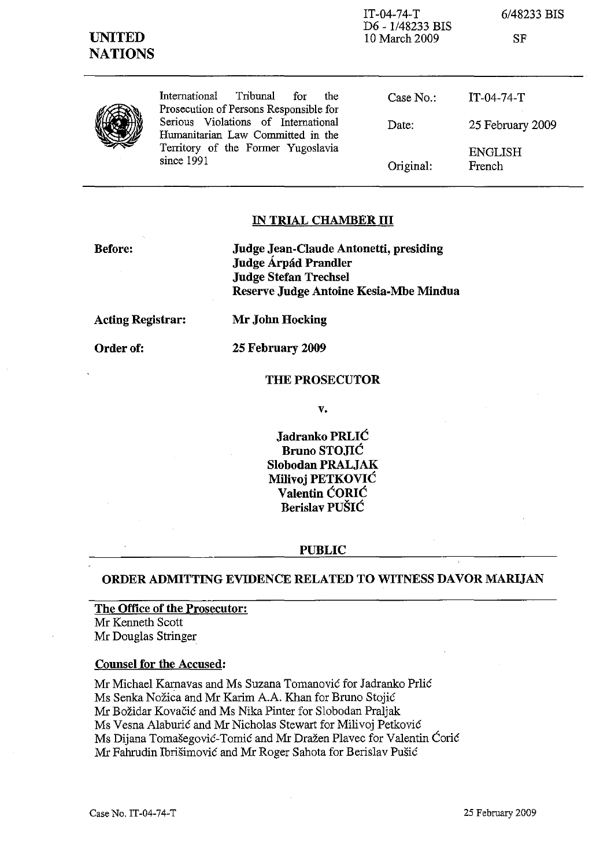| <b>UNITED</b><br><b>NATIONS</b> |                                                                                                                              | $IT-04-74-T$<br>D6 - 1/48233 BIS<br>10 March 2009 | 6/48233 BIS<br>SF        |
|---------------------------------|------------------------------------------------------------------------------------------------------------------------------|---------------------------------------------------|--------------------------|
|                                 | Tribunal<br>International<br>for<br>the<br>Prosecution of Persons Responsible for                                            | Case No.:                                         | $IT-04-74-T$             |
|                                 | Serious Violations of International<br>Humanitarian Law Committed in the<br>Territory of the Former Yugoslavia<br>since 1991 | Date:                                             | 25 February 2009         |
|                                 |                                                                                                                              | Original:                                         | <b>ENGLISH</b><br>French |

# **IN TRIAL CHAMBER III**

**Before:**

**Judge Jean-Claude Antonetti, presiding Judge A.rpad Prandler Judge Stefan Trechsel Reserve Judge Antoine Kesia-Mbe Mindua**

**Acting Registrar:**

Order of:

**Mr John Hocking**

# **25 February 2009**

# **THE PROSECUTOR**

**v.**

**Jadranko PRLIC Bruno STO**.IIC **Slobodan PRALJAK Milivoj PETKOVIC Valentin CORIC Berislav PUSIC**

#### **PUBLIC**

# **ORDER ADMITTING EVIDENCE RELATED TO WITNESS DAVOR MARIJAN**

**The Office of the Prosecutor:** Mr Kenneth Scott Mr Douglas Stringer

# **Counsel for the Accused:**

Mr Michael Kamavas and Ms Suzana Tomanovic for Jadranko Prlic Ms Senka Nozica and Mr Karim A.A. Khan for Bruno Stojic Mr Bozidar Kovacic and Ms Nika Pinter for Slobodan Praljak Ms Vesna Alaburic and Mr Nicholas Stewart for Milivoj Petkovic Ms Dijana Tomašegović-Tomić and Mr Dražen Plavec for Valentin Ćorić Mr Fahrudin Ibrisimovic and Mr Roger Sahota for Berislav Pusic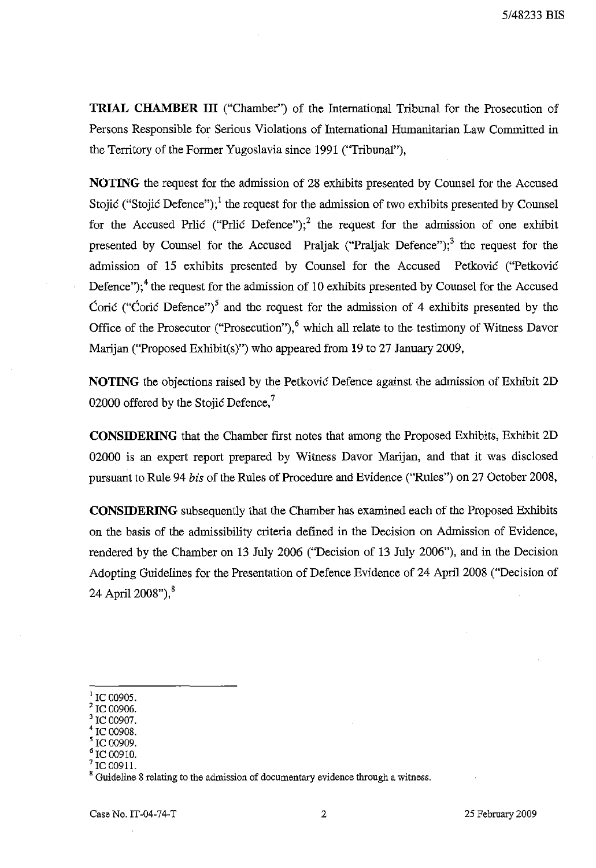**TRIAL CHAMBER III** ("Chamber") of the International Tribunal for the Prosecution of Persons Responsible for Serious Violations of International Humanitarian Law Committed in the Territory of the Former Yugoslavia since 1991 ("Tribunal"),

**NOTING** the request for the admission of 28 exhibits presented by Counsel for the Accused Stojić ("Stojić Defence");<sup>1</sup> the request for the admission of two exhibits presented by Counsel for the Accused Prlic ("Prlic Defence");<sup>2</sup> the request for the admission of one exhibit presented by Counsel for the Accused Praljak ("Praljak Defence");<sup>3</sup> the request for the admission of 15 exhibits presented by Counsel for the Accused Petkovic ("Petkovie Defence");<sup>4</sup> the request for the admission of 10 exhibits presented by Counsel for the Accused Coric ("Coric Defence")<sup>5</sup> and the request for the admission of 4 exhibits presented by the Office of the Prosecutor ("Prosecution"),<sup>6</sup> which all relate to the testimony of Witness Davor Marijan ("Proposed Exhibit(s)") who appeared from 19 to 27 January 2009,

**NOTING** the objections raised by the Petkovic Defence against the admission of Exhibit 2D 02000 offered by the Stojic Defence,<sup>7</sup>

**CONSIDERING** that the Chamber first notes that among the Proposed Exhibits, Exhibit 2D 02000 is an expert report prepared by Witness Davor Marijan, and that it was disclosed pursuant to Rule 94 *his* of the Rules of Procedure and Evidence (''Rules'') on 27 October 2008,

**CONSIDERING** subsequently that the Chamber has examined each of the Proposed Exhibits on the basis of the admissibility criteria defined in the Decision on Admission of Evidence, rendered by the Chamber on 13 July 2006 ("Decision of 13 July 2006"), and in the Decision Adopting Guidelines for the Presentation of Defence Evidence of 24 April 2008 ("Decision of 24 April 2008"), $^8$ 

<sup>1</sup> IC 00905.

IC 00906.

<sup>3</sup> IC 00907.

IC 00908.

IC 00909.

IC 00910.

IC 00911.

<sup>8</sup> Guideline 8 relating to the admission of documentary evidence through a witness.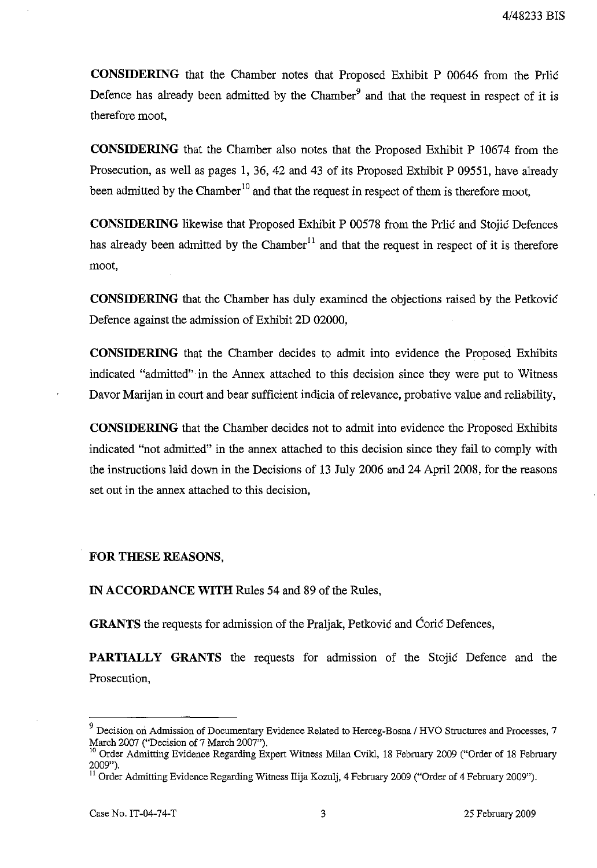CONSIDERING that the Chamber notes that Proposed Exhibit P 00646 from the Prlic Defence has already been admitted by the Chamber<sup>9</sup> and that the request in respect of it is therefore moot,

CONSIDERING that the Chamber also notes that the Proposed Exhibit P 10674 from the Prosecution, as well as pages I, 36, 42 and 43 of its Proposed Exhibit P 09551, have already been admitted by the Chamber<sup>10</sup> and that the request in respect of them is therefore moot,

CONSIDERING likewise that Proposed Exhibit P 00578 from the Prlic and Stojic Defences has already been admitted by the  $Chamber<sup>11</sup>$  and that the request in respect of it is therefore moot,

CONSIDERING that the Chamber has duly examined the objections raised by the Petkovic Defence against the admission of Exhibit 2D 02000,

CONSIDERING that the Chamber decides to admit into evidence the Proposed Exhibits indicated "admitted"· in the Annex attached to this decision since they were put to Witness Davor Marijan in court and bear sufficient indicia of relevance, probative value and reliability,

CONSIDERING that the Chamber decides not to admit into evidence the Proposed Exhibits indicated "not admitted" in the annex attached to this decision since they fail to comply with the instructions laid down in the Decisions of 13 July 2006 and 24 April 2008, for the reasons set out in the annex attached to this decision,

FOR THESE REASONS,

IN ACCORDANCE WITH Rules 54 and 89 of the Rules,

GRANTS the requests for admission of the Praljak, Petkovic and Coric Defences,

PARTIALLY GRANTS the requests for admission of the Stojic Defence and the Prosecution,

<sup>&</sup>lt;sup>9</sup> Decision on Admission of Documentary Evidence Related to Herceg-Bosna / HVO Structures and Processes, 7 March 2007 ("Decision of 7 March 2007").

<sup>&</sup>lt;sup>10</sup> Order Admitting Evidence Regarding Expert Witness Milan Cvikl, 18 February 2009 ("Order of 18 February 2009").

<sup>&</sup>lt;sup>11</sup> Order Admitting Evidence Regarding Witness Ilija Kozulj, 4 February 2009 ("Order of 4 February 2009").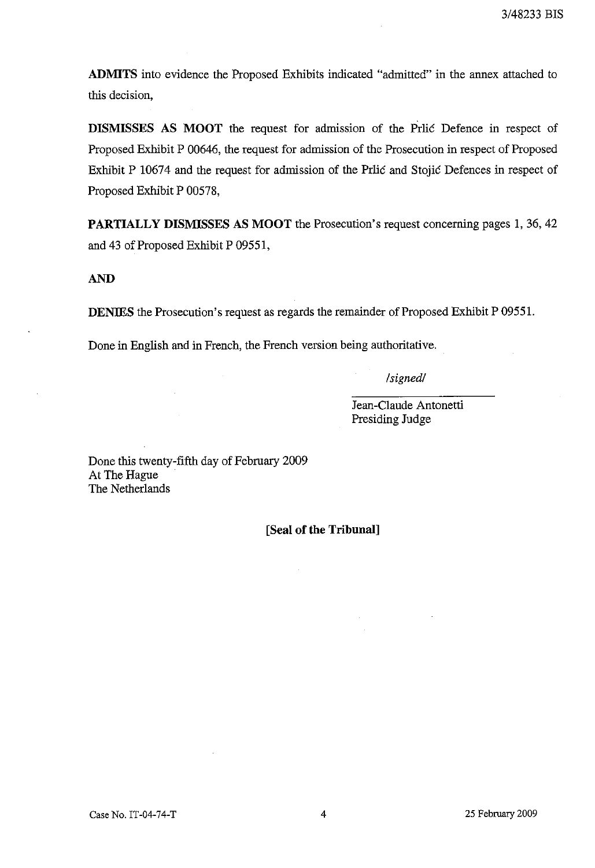**ADMITS** into evidence the Proposed Exhibits indicated "admitted" in the annex attached to this decision,

**DISMISSES AS MOOT** the request for admission of the Prlic Defence in respect of Proposed Exhibit P 00646, the request for admission of the Prosecution in respect of Proposed Exhibit P 10674 and the request for admission of the Prlic and Stojic Defences in respect of Proposed Exhibit P 00578,

**PARTIALLY DISMISSES AS MOOT** the Prosecution's request concerning pages 1,36,42 and 43 of Proposed Exhibit P 09551,

**AND**

**DENIES** the Prosecution's request as regards the remainder of Proposed Exhibit P 09551.

Done in English and in French, the French version being authoritative.

*/signed/*

Jean-Claude Antonetti Presiding Judge

Done this twenty-fifth day of February 2009 At The Hague The Netherlands

**[Seal of** the **Tribunal]**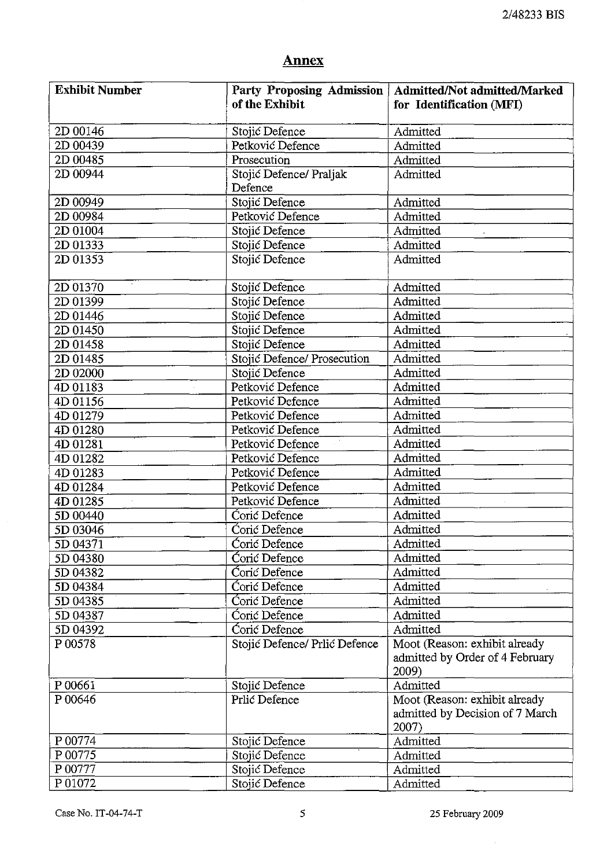# **Annex**

| <b>Exhibit Number</b> |                               | Party Proposing Admission   Admitted/Not admitted/Marked |
|-----------------------|-------------------------------|----------------------------------------------------------|
|                       | of the Exhibit                | for Identification (MFI)                                 |
| 2D 00146              | Stojić Defence                | Admitted                                                 |
| 2D 00439              | Petković Defence              | Admitted                                                 |
| 2D 00485              | Prosecution                   | Admitted                                                 |
| 2D 00944              | Stojić Defence/ Praljak       | Admitted                                                 |
|                       | Defence                       |                                                          |
| 2D 00949              | Stojić Defence                | Admitted                                                 |
| 2D 00984              | Petković Defence              | Admitted                                                 |
| 2D 01004              | Stojić Defence                | Admitted                                                 |
| 2D 01333              | Stojić Defence                | Admitted                                                 |
| 2D 01353              | Stojić Defence                | Admitted                                                 |
| 2D 01370              | Stojić Defence                | Admitted                                                 |
| 2D 01399              | Stojić Defence                | Admitted                                                 |
| 2D 01446              | Stojić Defence                | Admitted                                                 |
| 2D 01450              | Stojić Defence                | Admitted                                                 |
| 2D 01458              | Stojić Defence                | Admitted                                                 |
| 2D 01485              | Stojić Defence/ Prosecution   | Admitted                                                 |
| 2D 02000              | Stojić Defence                | Admitted                                                 |
| 4D 01183              | Petković Defence              | Admitted                                                 |
| 4D 01156              | Petković Defence              | Admitted                                                 |
| 4D 01279              | Petković Defence              | Admitted                                                 |
| 4D 01280              | Petković Defence              | Admitted                                                 |
| 4D 01281              | Petković Defence              | Admitted                                                 |
| 4D 01282              | Petković Defence              | Admitted                                                 |
| 4D 01283              | Petković Defence              | Admitted                                                 |
| 4D 01284              | Petković Defence              | Admitted                                                 |
| 4D 01285              | Petković Defence              | Admitted                                                 |
| 5D 00440              | Coric Defence                 | Admitted                                                 |
| 5D 03046              | Corić Defence                 | Admitted                                                 |
| 5D 04371              | Coric Defence                 | Admitted                                                 |
| 5D 04380              | Coric Defence                 | Admitted                                                 |
| 5D 04382              | Coric Defence                 | Admitted                                                 |
| 5D 04384              | Corić Defence                 | Admitted                                                 |
| 5D 04385              | Coric Defence                 | Admitted                                                 |
| 5D 04387              | Corić Defence                 | Admitted                                                 |
| 5D 04392              | Coric Defence                 | Admitted                                                 |
| P 00578               | Stojić Defence/ Prlić Defence | Moot (Reason: exhibit already                            |
|                       |                               | admitted by Order of 4 February                          |
|                       |                               | 2009)                                                    |
| P 00661               | Stojić Defence                | Admitted                                                 |
| P 00646               | Prlić Defence                 | Moot (Reason: exhibit already                            |
|                       |                               | admitted by Decision of 7 March                          |
|                       |                               | 2007)                                                    |
| P 00774               | Stojić Defence                | Admitted                                                 |
| P 00775               | Stojić Defence                | Admitted                                                 |
| P 00777               | Stojić Defence                | Admitted                                                 |
| P 01072               | Stojić Defence                | Admitted                                                 |